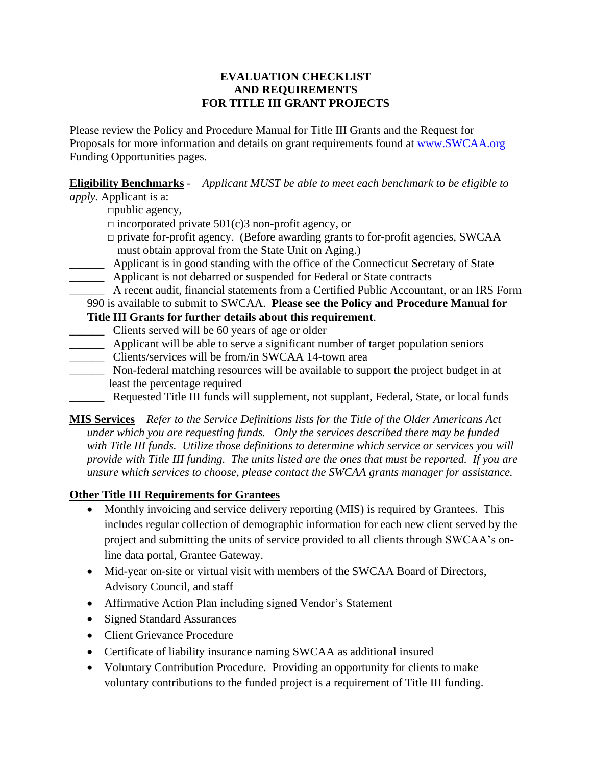## **EVALUATION CHECKLIST AND REQUIREMENTS FOR TITLE III GRANT PROJECTS**

Please review the Policy and Procedure Manual for Title III Grants and the Request for Proposals for more information and details on grant requirements found at www.SWCAA.org Funding Opportunities pages.

## **Eligibility Benchmarks** - *Applicant MUST be able to meet each benchmark to be eligible to*

*apply.* Applicant is a:

 $\Box$ public agency,

- $\Box$  incorporated private 501(c)3 non-profit agency, or
- $\Box$  private for-profit agency. (Before awarding grants to for-profit agencies, SWCAA must obtain approval from the State Unit on Aging.)
- \_\_\_\_\_\_ Applicant is in good standing with the office of the Connecticut Secretary of State
- \_\_\_\_\_\_ Applicant is not debarred or suspended for Federal or State contracts

\_\_\_\_\_\_ A recent audit, financial statements from a Certified Public Accountant, or an IRS Form

990 is available to submit to SWCAA. **Please see the Policy and Procedure Manual for Title III Grants for further details about this requirement**.

- \_\_\_\_\_\_ Clients served will be 60 years of age or older
- \_\_\_\_\_\_ Applicant will be able to serve a significant number of target population seniors
- \_\_\_\_\_\_ Clients/services will be from/in SWCAA 14-town area
- \_\_\_\_\_\_ Non-federal matching resources will be available to support the project budget in at least the percentage required
- Requested Title III funds will supplement, not supplant, Federal, State, or local funds

**MIS Services** – *Refer to the Service Definitions lists for the Title of the Older Americans Act under which you are requesting funds. Only the services described there may be funded with Title III funds. Utilize those definitions to determine which service or services you will provide with Title III funding. The units listed are the ones that must be reported. If you are unsure which services to choose, please contact the SWCAA grants manager for assistance.*

## **Other Title III Requirements for Grantees**

- Monthly invoicing and service delivery reporting (MIS) is required by Grantees. This includes regular collection of demographic information for each new client served by the project and submitting the units of service provided to all clients through SWCAA's online data portal, Grantee Gateway.
- Mid-year on-site or virtual visit with members of the SWCAA Board of Directors, Advisory Council, and staff
- Affirmative Action Plan including signed Vendor's Statement
- Signed Standard Assurances
- Client Grievance Procedure
- Certificate of liability insurance naming SWCAA as additional insured
- Voluntary Contribution Procedure. Providing an opportunity for clients to make voluntary contributions to the funded project is a requirement of Title III funding.